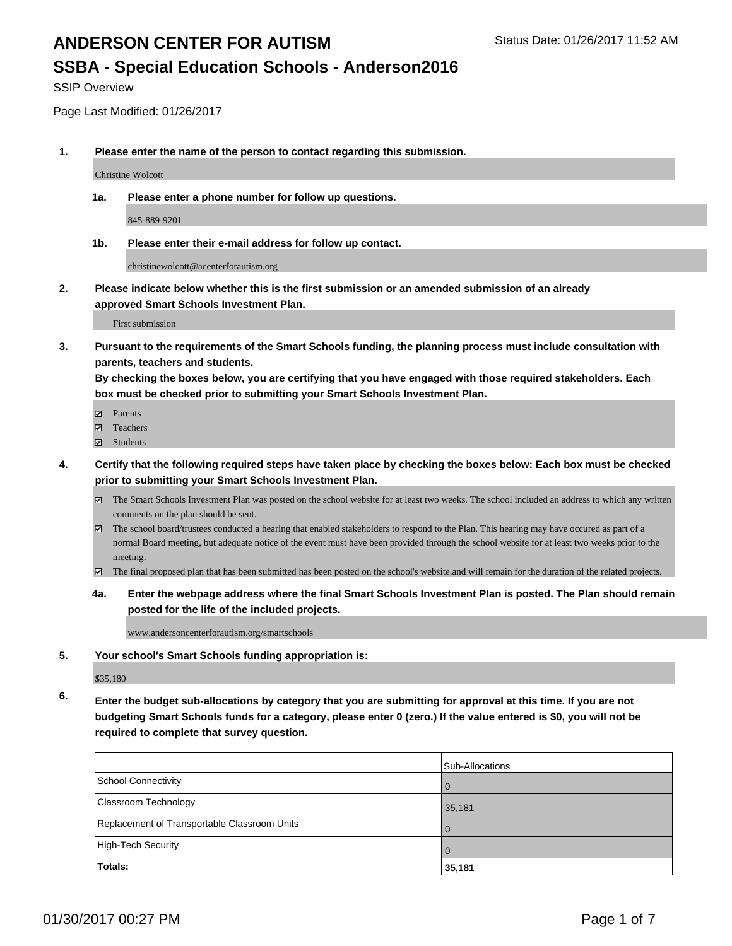SSIP Overview

Page Last Modified: 01/26/2017

**1. Please enter the name of the person to contact regarding this submission.**

Christine Wolcott

**1a. Please enter a phone number for follow up questions.**

845-889-9201

**1b. Please enter their e-mail address for follow up contact.**

christinewolcott@acenterforautism.org

**2. Please indicate below whether this is the first submission or an amended submission of an already approved Smart Schools Investment Plan.**

First submission

**3. Pursuant to the requirements of the Smart Schools funding, the planning process must include consultation with parents, teachers and students.**

**By checking the boxes below, you are certifying that you have engaged with those required stakeholders. Each box must be checked prior to submitting your Smart Schools Investment Plan.**

- **Parents**
- Teachers
- **☑** Students
- **4. Certify that the following required steps have taken place by checking the boxes below: Each box must be checked prior to submitting your Smart Schools Investment Plan.**
	- The Smart Schools Investment Plan was posted on the school website for at least two weeks. The school included an address to which any written comments on the plan should be sent.
	- $\boxtimes$  The school board/trustees conducted a hearing that enabled stakeholders to respond to the Plan. This hearing may have occured as part of a normal Board meeting, but adequate notice of the event must have been provided through the school website for at least two weeks prior to the meeting.
	- The final proposed plan that has been submitted has been posted on the school's website.and will remain for the duration of the related projects.
	- **4a. Enter the webpage address where the final Smart Schools Investment Plan is posted. The Plan should remain posted for the life of the included projects.**

www.andersoncenterforautism.org/smartschools

**5. Your school's Smart Schools funding appropriation is:**

\$35,180

**6. Enter the budget sub-allocations by category that you are submitting for approval at this time. If you are not budgeting Smart Schools funds for a category, please enter 0 (zero.) If the value entered is \$0, you will not be required to complete that survey question.**

|                                              | Sub-Allocations |
|----------------------------------------------|-----------------|
| School Connectivity                          | 0               |
| Classroom Technology                         | 35,181          |
| Replacement of Transportable Classroom Units | 0               |
| High-Tech Security                           | $\Omega$        |
| <b>Totals:</b>                               | 35,181          |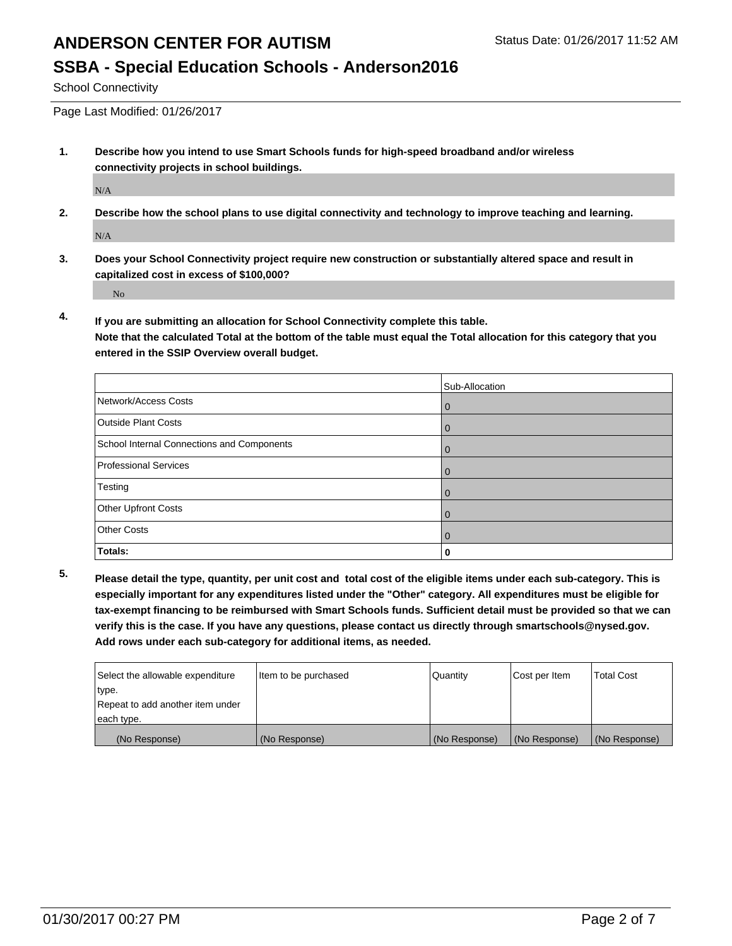School Connectivity

Page Last Modified: 01/26/2017

**1. Describe how you intend to use Smart Schools funds for high-speed broadband and/or wireless connectivity projects in school buildings.**

N/A

**2. Describe how the school plans to use digital connectivity and technology to improve teaching and learning.**

N/A

**3. Does your School Connectivity project require new construction or substantially altered space and result in capitalized cost in excess of \$100,000?**

No

**4. If you are submitting an allocation for School Connectivity complete this table. Note that the calculated Total at the bottom of the table must equal the Total allocation for this category that you entered in the SSIP Overview overall budget.** 

|                                            | Sub-Allocation |
|--------------------------------------------|----------------|
| Network/Access Costs                       | U              |
| Outside Plant Costs                        | O              |
| School Internal Connections and Components | ω              |
| Professional Services                      |                |
| Testing                                    | O              |
| Other Upfront Costs                        | 0              |
| <b>Other Costs</b>                         | ω              |
| Totals:                                    |                |

**5. Please detail the type, quantity, per unit cost and total cost of the eligible items under each sub-category. This is especially important for any expenditures listed under the "Other" category. All expenditures must be eligible for tax-exempt financing to be reimbursed with Smart Schools funds. Sufficient detail must be provided so that we can verify this is the case. If you have any questions, please contact us directly through smartschools@nysed.gov. Add rows under each sub-category for additional items, as needed.**

| Select the allowable expenditure | Item to be purchased | Quantity      | Cost per Item | <b>Total Cost</b> |
|----------------------------------|----------------------|---------------|---------------|-------------------|
| type.                            |                      |               |               |                   |
| Repeat to add another item under |                      |               |               |                   |
| each type.                       |                      |               |               |                   |
| (No Response)                    | (No Response)        | (No Response) | (No Response) | (No Response)     |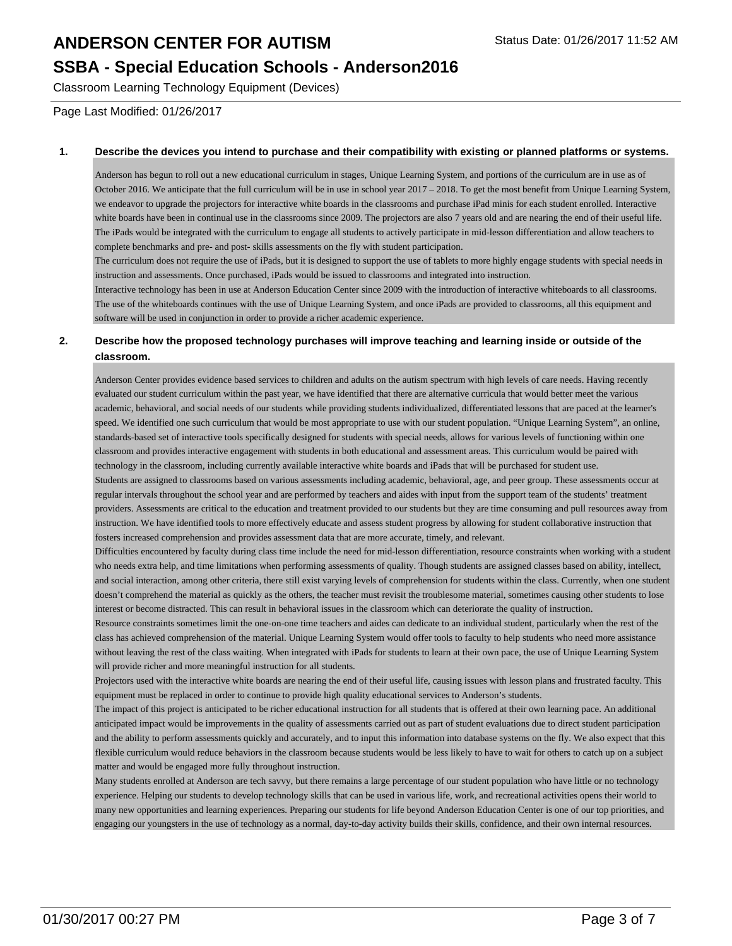# **ANDERSON CENTER FOR AUTISM** Status Date: 01/26/2017 11:52 AM

#### **SSBA - Special Education Schools - Anderson2016**

Classroom Learning Technology Equipment (Devices)

Page Last Modified: 01/26/2017

#### **1. Describe the devices you intend to purchase and their compatibility with existing or planned platforms or systems.**

Anderson has begun to roll out a new educational curriculum in stages, Unique Learning System, and portions of the curriculum are in use as of October 2016. We anticipate that the full curriculum will be in use in school year  $2017 - 2018$ . To get the most benefit from Unique Learning System, we endeavor to upgrade the projectors for interactive white boards in the classrooms and purchase iPad minis for each student enrolled. Interactive white boards have been in continual use in the classrooms since 2009. The projectors are also 7 years old and are nearing the end of their useful life. The iPads would be integrated with the curriculum to engage all students to actively participate in mid-lesson differentiation and allow teachers to complete benchmarks and pre- and post- skills assessments on the fly with student participation.

The curriculum does not require the use of iPads, but it is designed to support the use of tablets to more highly engage students with special needs in instruction and assessments. Once purchased, iPads would be issued to classrooms and integrated into instruction.

Interactive technology has been in use at Anderson Education Center since 2009 with the introduction of interactive whiteboards to all classrooms. The use of the whiteboards continues with the use of Unique Learning System, and once iPads are provided to classrooms, all this equipment and software will be used in conjunction in order to provide a richer academic experience.

#### **2. Describe how the proposed technology purchases will improve teaching and learning inside or outside of the classroom.**

Anderson Center provides evidence based services to children and adults on the autism spectrum with high levels of care needs. Having recently evaluated our student curriculum within the past year, we have identified that there are alternative curricula that would better meet the various academic, behavioral, and social needs of our students while providing students individualized, differentiated lessons that are paced at the learner's speed. We identified one such curriculum that would be most appropriate to use with our student population. "Unique Learning System", an online, standards-based set of interactive tools specifically designed for students with special needs, allows for various levels of functioning within one classroom and provides interactive engagement with students in both educational and assessment areas. This curriculum would be paired with technology in the classroom, including currently available interactive white boards and iPads that will be purchased for student use. Students are assigned to classrooms based on various assessments including academic, behavioral, age, and peer group. These assessments occur at

regular intervals throughout the school year and are performed by teachers and aides with input from the support team of the students' treatment providers. Assessments are critical to the education and treatment provided to our students but they are time consuming and pull resources away from instruction. We have identified tools to more effectively educate and assess student progress by allowing for student collaborative instruction that fosters increased comprehension and provides assessment data that are more accurate, timely, and relevant.

Difficulties encountered by faculty during class time include the need for mid-lesson differentiation, resource constraints when working with a student who needs extra help, and time limitations when performing assessments of quality. Though students are assigned classes based on ability, intellect, and social interaction, among other criteria, there still exist varying levels of comprehension for students within the class. Currently, when one student doesn't comprehend the material as quickly as the others, the teacher must revisit the troublesome material, sometimes causing other students to lose interest or become distracted. This can result in behavioral issues in the classroom which can deteriorate the quality of instruction.

Resource constraints sometimes limit the one-on-one time teachers and aides can dedicate to an individual student, particularly when the rest of the class has achieved comprehension of the material. Unique Learning System would offer tools to faculty to help students who need more assistance without leaving the rest of the class waiting. When integrated with iPads for students to learn at their own pace, the use of Unique Learning System will provide richer and more meaningful instruction for all students.

Projectors used with the interactive white boards are nearing the end of their useful life, causing issues with lesson plans and frustrated faculty. This equipment must be replaced in order to continue to provide high quality educational services to Anderson's students.

The impact of this project is anticipated to be richer educational instruction for all students that is offered at their own learning pace. An additional anticipated impact would be improvements in the quality of assessments carried out as part of student evaluations due to direct student participation and the ability to perform assessments quickly and accurately, and to input this information into database systems on the fly. We also expect that this flexible curriculum would reduce behaviors in the classroom because students would be less likely to have to wait for others to catch up on a subject matter and would be engaged more fully throughout instruction.

Many students enrolled at Anderson are tech savvy, but there remains a large percentage of our student population who have little or no technology experience. Helping our students to develop technology skills that can be used in various life, work, and recreational activities opens their world to many new opportunities and learning experiences. Preparing our students for life beyond Anderson Education Center is one of our top priorities, and engaging our youngsters in the use of technology as a normal, day-to-day activity builds their skills, confidence, and their own internal resources.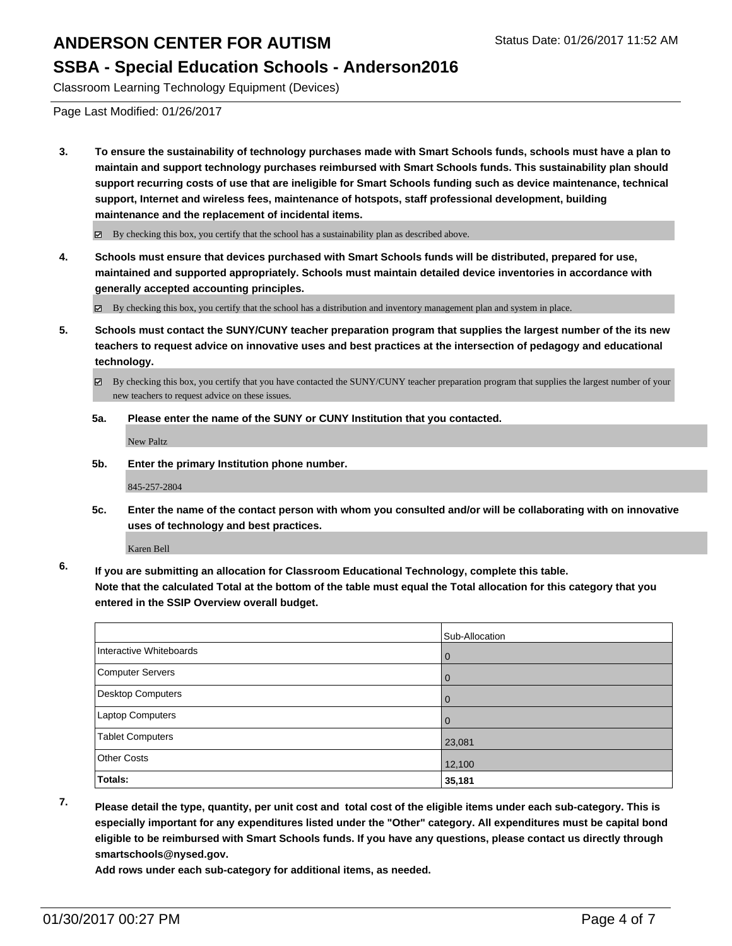Classroom Learning Technology Equipment (Devices)

Page Last Modified: 01/26/2017

**3. To ensure the sustainability of technology purchases made with Smart Schools funds, schools must have a plan to maintain and support technology purchases reimbursed with Smart Schools funds. This sustainability plan should support recurring costs of use that are ineligible for Smart Schools funding such as device maintenance, technical support, Internet and wireless fees, maintenance of hotspots, staff professional development, building maintenance and the replacement of incidental items.**

 $\boxtimes$  By checking this box, you certify that the school has a sustainability plan as described above.

**4. Schools must ensure that devices purchased with Smart Schools funds will be distributed, prepared for use, maintained and supported appropriately. Schools must maintain detailed device inventories in accordance with generally accepted accounting principles.**

By checking this box, you certify that the school has a distribution and inventory management plan and system in place.

**5. Schools must contact the SUNY/CUNY teacher preparation program that supplies the largest number of the its new teachers to request advice on innovative uses and best practices at the intersection of pedagogy and educational technology.**

By checking this box, you certify that you have contacted the SUNY/CUNY teacher preparation program that supplies the largest number of your new teachers to request advice on these issues.

**5a. Please enter the name of the SUNY or CUNY Institution that you contacted.**

New Paltz

**5b. Enter the primary Institution phone number.**

845-257-2804

**5c. Enter the name of the contact person with whom you consulted and/or will be collaborating with on innovative uses of technology and best practices.**

Karen Bell

**6. If you are submitting an allocation for Classroom Educational Technology, complete this table. Note that the calculated Total at the bottom of the table must equal the Total allocation for this category that you entered in the SSIP Overview overall budget.**

|                         | Sub-Allocation |
|-------------------------|----------------|
| Interactive Whiteboards | $\mathbf 0$    |
| <b>Computer Servers</b> | $\overline{0}$ |
| Desktop Computers       | $\overline{0}$ |
| Laptop Computers        | $\overline{0}$ |
| <b>Tablet Computers</b> | 23,081         |
| <b>Other Costs</b>      | 12,100         |
| Totals:                 | 35,181         |

**7. Please detail the type, quantity, per unit cost and total cost of the eligible items under each sub-category. This is especially important for any expenditures listed under the "Other" category. All expenditures must be capital bond eligible to be reimbursed with Smart Schools funds. If you have any questions, please contact us directly through smartschools@nysed.gov.**

**Add rows under each sub-category for additional items, as needed.**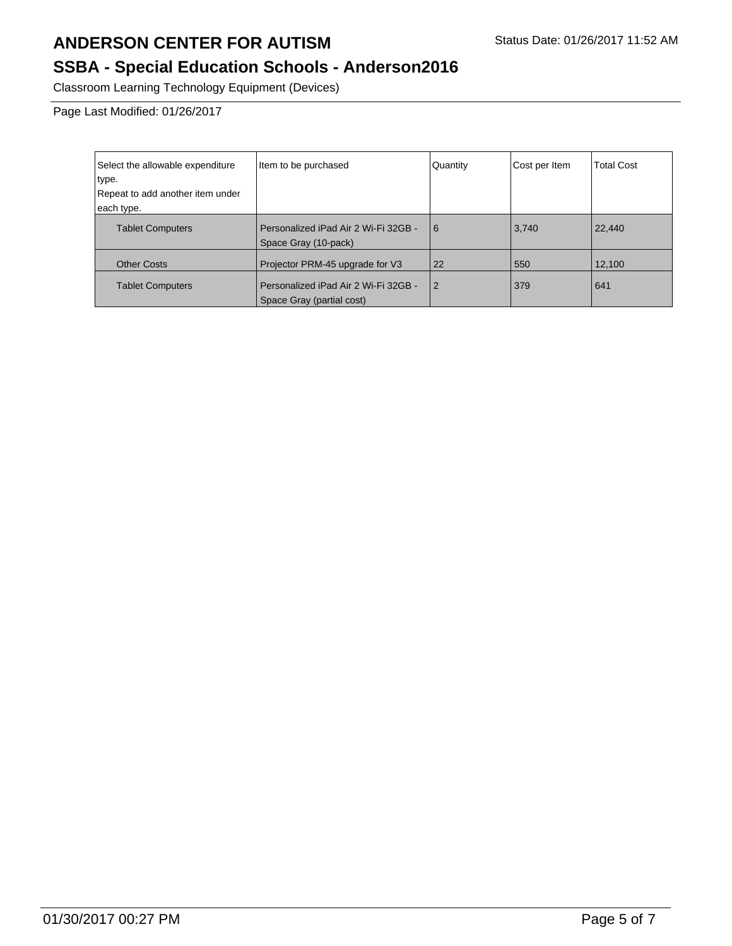# ANDERSON CENTER FOR AUTISM Status Date: 01/26/2017 11:52 AM

## **SSBA - Special Education Schools - Anderson2016**

Classroom Learning Technology Equipment (Devices)

Page Last Modified: 01/26/2017

| Select the allowable expenditure | Item to be purchased                                              | Quantity       | Cost per Item | <b>Total Cost</b> |
|----------------------------------|-------------------------------------------------------------------|----------------|---------------|-------------------|
| type.                            |                                                                   |                |               |                   |
| Repeat to add another item under |                                                                   |                |               |                   |
| each type.                       |                                                                   |                |               |                   |
| <b>Tablet Computers</b>          | Personalized iPad Air 2 Wi-Fi 32GB -<br>Space Gray (10-pack)      | l 6            | 3,740         | 22,440            |
| <b>Other Costs</b>               | Projector PRM-45 upgrade for V3                                   | 22             | 550           | 12,100            |
| <b>Tablet Computers</b>          | Personalized iPad Air 2 Wi-Fi 32GB -<br>Space Gray (partial cost) | $\overline{2}$ | 379           | 641               |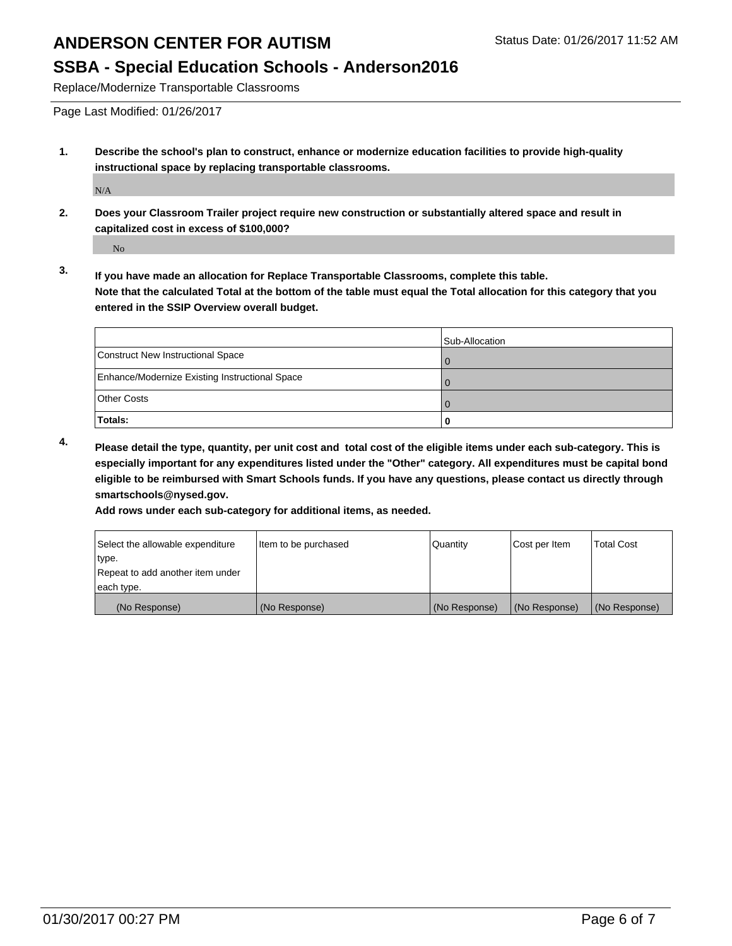Replace/Modernize Transportable Classrooms

Page Last Modified: 01/26/2017

**1. Describe the school's plan to construct, enhance or modernize education facilities to provide high-quality instructional space by replacing transportable classrooms.**

N/A

**2. Does your Classroom Trailer project require new construction or substantially altered space and result in capitalized cost in excess of \$100,000?**

No

**3. If you have made an allocation for Replace Transportable Classrooms, complete this table. Note that the calculated Total at the bottom of the table must equal the Total allocation for this category that you entered in the SSIP Overview overall budget.**

|                                                | Sub-Allocation |
|------------------------------------------------|----------------|
| Construct New Instructional Space              |                |
| Enhance/Modernize Existing Instructional Space |                |
| <b>Other Costs</b>                             |                |
| Totals:                                        |                |

**4. Please detail the type, quantity, per unit cost and total cost of the eligible items under each sub-category. This is especially important for any expenditures listed under the "Other" category. All expenditures must be capital bond eligible to be reimbursed with Smart Schools funds. If you have any questions, please contact us directly through smartschools@nysed.gov.**

**Add rows under each sub-category for additional items, as needed.**

| Select the allowable expenditure | litem to be purchased | Quantity      | Cost per Item | <b>Total Cost</b> |
|----------------------------------|-----------------------|---------------|---------------|-------------------|
| type.                            |                       |               |               |                   |
| Repeat to add another item under |                       |               |               |                   |
| each type.                       |                       |               |               |                   |
| (No Response)                    | (No Response)         | (No Response) | (No Response) | (No Response)     |